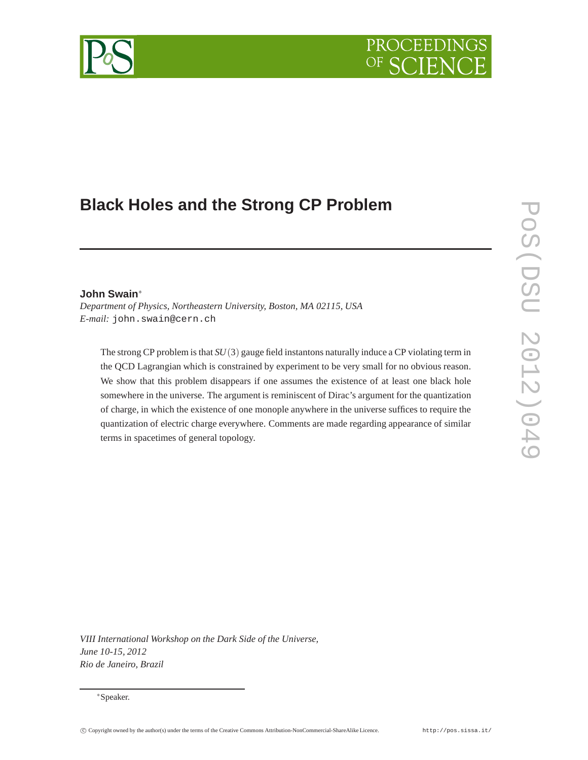# PROCEEDI

# **Black Holes and the Strong CP Problem**

# **John Swain**<sup>∗</sup>

*Department of Physics, Northeastern University, Boston, MA 02115, USA E-mail:* john.swain@cern.ch

The strong CP problem is that *SU*(3) gauge field instantons naturally induce a CP violating term in the QCD Lagrangian which is constrained by experiment to be very small for no obvious reason. We show that this problem disappears if one assumes the existence of at least one black hole somewhere in the universe. The argument is reminiscent of Dirac's argument for the quantization of charge, in which the existence of one monople anywhere in the universe suffices to require the quantization of electric charge everywhere. Comments are made regarding appearance of similar terms in spacetimes of general topology.

*VIII International Workshop on the Dark Side of the Universe, June 10-15, 2012 Rio de Janeiro, Brazil*



<sup>∗</sup>Speaker.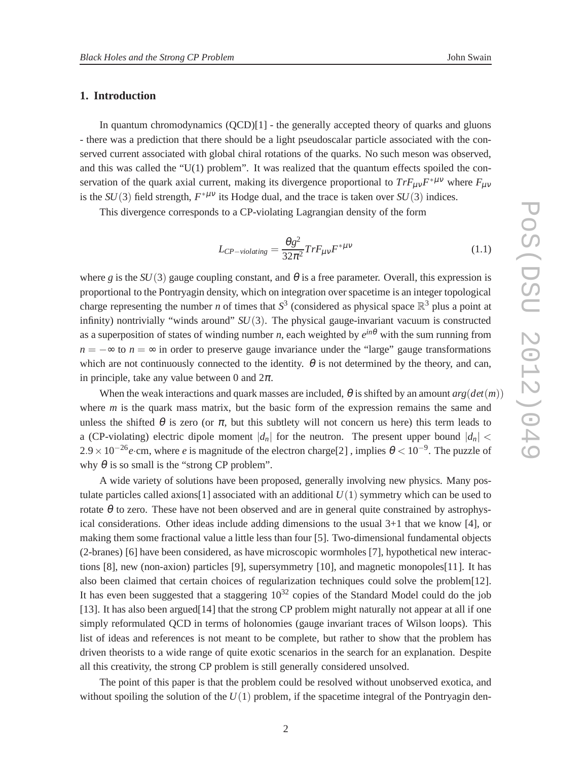# **1. Introduction**

In quantum chromodynamics  $(QCD)[1]$  - the generally accepted theory of quarks and gluons - there was a prediction that there should be a light pseudoscalar particle associated with the conserved current associated with global chiral rotations of the quarks. No such meson was observed, and this was called the " $U(1)$  problem". It was realized that the quantum effects spoiled the conservation of the quark axial current, making its divergence proportional to  $Tr F_{\mu\nu}F^{*\mu\nu}$  where  $F_{\mu\nu}$ is the  $SU(3)$  field strength,  $F^{*\mu\nu}$  its Hodge dual, and the trace is taken over  $SU(3)$  indices.

This divergence corresponds to a CP-violating Lagrangian density of the form

$$
L_{CP-violating} = \frac{\theta g^2}{32\pi^2} Tr F_{\mu\nu} F^{*\mu\nu}
$$
 (1.1)

where *g* is the  $SU(3)$  gauge coupling constant, and  $\theta$  is a free parameter. Overall, this expression is proportional to the Pontryagin density, which on integration over spacetime is an integer topological charge representing the number *n* of times that  $S^3$  (considered as physical space  $\mathbb{R}^3$  plus a point at infinity) nontrivially "winds around" *SU*(3). The physical gauge-invariant vacuum is constructed as a superposition of states of winding number *n*, each weighted by *e in*<sup>θ</sup> with the sum running from  $n = -\infty$  to  $n = \infty$  in order to preserve gauge invariance under the "large" gauge transformations which are not continuously connected to the identity.  $\theta$  is not determined by the theory, and can, in principle, take any value between 0 and  $2\pi$ .

When the weak interactions and quark masses are included,  $\theta$  is shifted by an amount  $arg(det(m))$ where *m* is the quark mass matrix, but the basic form of the expression remains the same and unless the shifted  $\theta$  is zero (or  $\pi$ , but this subtlety will not concern us here) this term leads to a (CP-violating) electric dipole moment  $|d_n|$  for the neutron. The present upper bound  $|d_n|$  <  $2.9 \times 10^{-26}$ *e*·cm, where *e* is magnitude of the electron charge[2], implies  $\theta < 10^{-9}$ . The puzzle of why  $\theta$  is so small is the "strong CP problem".

A wide variety of solutions have been proposed, generally involving new physics. Many postulate particles called axions [1] associated with an additional  $U(1)$  symmetry which can be used to rotate  $\theta$  to zero. These have not been observed and are in general quite constrained by astrophysical considerations. Other ideas include adding dimensions to the usual 3+1 that we know [4], or making them some fractional value a little less than four [5]. Two-dimensional fundamental objects (2-branes) [6] have been considered, as have microscopic wormholes [7], hypothetical new interactions [8], new (non-axion) particles [9], supersymmetry [10], and magnetic monopoles[11]. It has also been claimed that certain choices of regularization techniques could solve the problem[12]. It has even been suggested that a staggering  $10^{32}$  copies of the Standard Model could do the job [13]. It has also been argued[14] that the strong CP problem might naturally not appear at all if one simply reformulated QCD in terms of holonomies (gauge invariant traces of Wilson loops). This list of ideas and references is not meant to be complete, but rather to show that the problem has driven theorists to a wide range of quite exotic scenarios in the search for an explanation. Despite all this creativity, the strong CP problem is still generally considered unsolved.

The point of this paper is that the problem could be resolved without unobserved exotica, and without spoiling the solution of the  $U(1)$  problem, if the spacetime integral of the Pontryagin den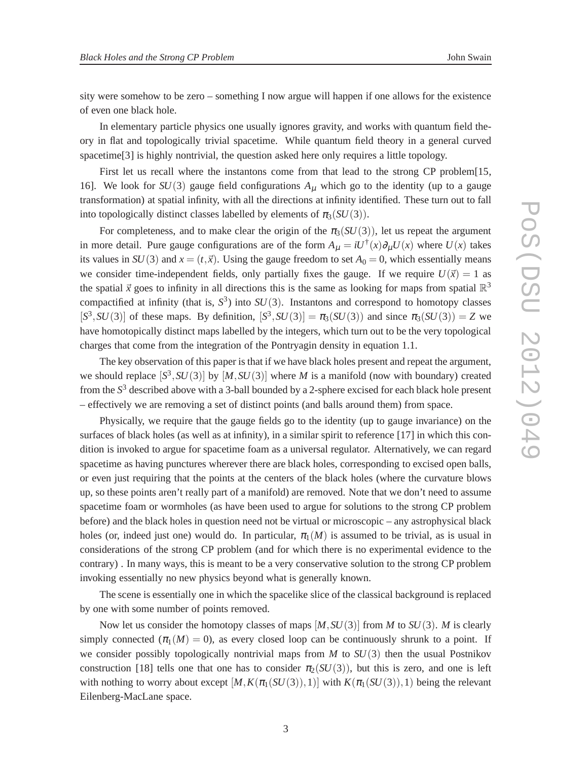sity were somehow to be zero – something I now argue will happen if one allows for the existence of even one black hole.

In elementary particle physics one usually ignores gravity, and works with quantum field theory in flat and topologically trivial spacetime. While quantum field theory in a general curved spacetime<sup>[3]</sup> is highly nontrivial, the question asked here only requires a little topology.

First let us recall where the instantons come from that lead to the strong CP problem [15, 16]. We look for  $SU(3)$  gauge field configurations  $A<sub>\mu</sub>$  which go to the identity (up to a gauge transformation) at spatial infinity, with all the directions at infinity identified. These turn out to fall into topologically distinct classes labelled by elements of  $\pi_3(SU(3))$ .

For completeness, and to make clear the origin of the  $\pi_3(SU(3))$ , let us repeat the argument in more detail. Pure gauge configurations are of the form  $A_\mu = iU^\dagger(x)\partial_\mu U(x)$  where  $U(x)$  takes its values in *SU*(3) and  $x = (t, \vec{x})$ . Using the gauge freedom to set  $A_0 = 0$ , which essentially means we consider time-independent fields, only partially fixes the gauge. If we require  $U(\vec{x}) = 1$  as the spatial  $\vec{x}$  goes to infinity in all directions this is the same as looking for maps from spatial  $\mathbb{R}^3$ compactified at infinity (that is,  $S^3$ ) into  $SU(3)$ . Instantons and correspond to homotopy classes  $[S^3, SU(3)]$  of these maps. By definition,  $[S^3, SU(3)] = \pi_3(SU(3))$  and since  $\pi_3(SU(3)) = Z$  we have homotopically distinct maps labelled by the integers, which turn out to be the very topological charges that come from the integration of the Pontryagin density in equation 1.1.

The key observation of this paper is that if we have black holes present and repeat the argument, we should replace  $[S^3, SU(3)]$  by  $[M, SU(3)]$  where *M* is a manifold (now with boundary) created from the *S* <sup>3</sup> described above with a 3-ball bounded by a 2-sphere excised for each black hole present – effectively we are removing a set of distinct points (and balls around them) from space.

Physically, we require that the gauge fields go to the identity (up to gauge invariance) on the surfaces of black holes (as well as at infinity), in a similar spirit to reference [17] in which this condition is invoked to argue for spacetime foam as a universal regulator. Alternatively, we can regard spacetime as having punctures wherever there are black holes, corresponding to excised open balls, or even just requiring that the points at the centers of the black holes (where the curvature blows up, so these points aren't really part of a manifold) are removed. Note that we don't need to assume spacetime foam or wormholes (as have been used to argue for solutions to the strong CP problem before) and the black holes in question need not be virtual or microscopic – any astrophysical black holes (or, indeed just one) would do. In particular,  $\pi_1(M)$  is assumed to be trivial, as is usual in considerations of the strong CP problem (and for which there is no experimental evidence to the contrary) . In many ways, this is meant to be a very conservative solution to the strong CP problem invoking essentially no new physics beyond what is generally known.

The scene is essentially one in which the spacelike slice of the classical background is replaced by one with some number of points removed.

Now let us consider the homotopy classes of maps [*M*,*SU*(3)] from *M* to *SU*(3). *M* is clearly simply connected  $(\pi_1(M) = 0)$ , as every closed loop can be continuously shrunk to a point. If we consider possibly topologically nontrivial maps from *M* to *SU*(3) then the usual Postnikov construction [18] tells one that one has to consider  $\pi_2(SU(3))$ , but this is zero, and one is left with nothing to worry about except  $[M, K(\pi_1(SU(3)), 1)]$  with  $K(\pi_1(SU(3)), 1)$  being the relevant Eilenberg-MacLane space.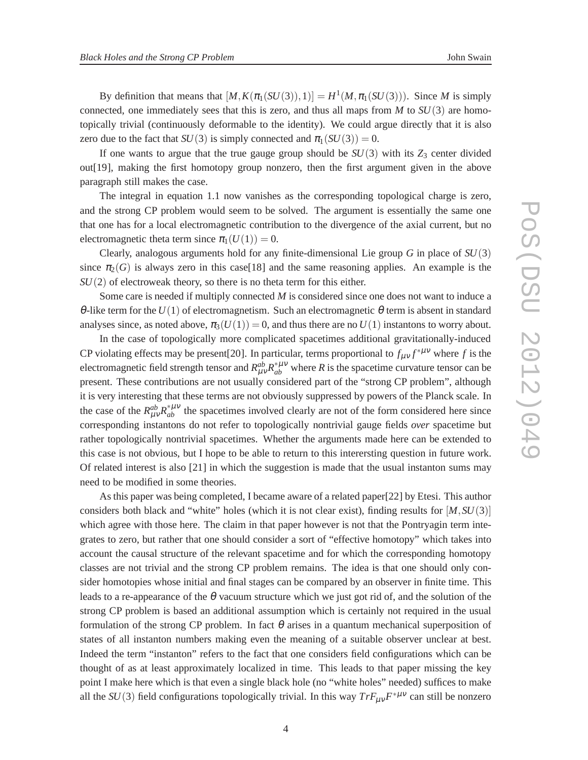By definition that means that  $[M, K(\pi_1(SU(3)), 1)] = H^1(M, \pi_1(SU(3)))$ . Since *M* is simply connected, one immediately sees that this is zero, and thus all maps from  $M$  to  $SU(3)$  are homotopically trivial (continuously deformable to the identity). We could argue directly that it is also zero due to the fact that  $SU(3)$  is simply connected and  $\pi_1(SU(3)) = 0$ .

If one wants to argue that the true gauge group should be  $SU(3)$  with its  $Z_3$  center divided out[19], making the first homotopy group nonzero, then the first argument given in the above paragraph still makes the case.

The integral in equation 1.1 now vanishes as the corresponding topological charge is zero, and the strong CP problem would seem to be solved. The argument is essentially the same one that one has for a local electromagnetic contribution to the divergence of the axial current, but no electromagnetic theta term since  $\pi_1(U(1)) = 0$ .

Clearly, analogous arguments hold for any finite-dimensional Lie group *G* in place of *SU*(3) since  $\pi_2(G)$  is always zero in this case[18] and the same reasoning applies. An example is the *SU*(2) of electroweak theory, so there is no theta term for this either.

Some care is needed if multiply connected *M* is considered since one does not want to induce a  $\theta$ -like term for the  $U(1)$  of electromagnetism. Such an electromagnetic  $\theta$  term is absent in standard analyses since, as noted above,  $\pi_3(U(1)) = 0$ , and thus there are no  $U(1)$  instantons to worry about.

In the case of topologically more complicated spacetimes additional gravitationally-induced CP violating effects may be present [20]. In particular, terms proportional to  $f_{\mu\nu}f^{*\mu\nu}$  where f is the electromagnetic field strength tensor and  $R_{\mu\nu}^{ab}R_{ab}^{*\mu\nu}$  where *R* is the spacetime curvature tensor can be present. These contributions are not usually considered part of the "strong CP problem", although it is very interesting that these terms are not obviously suppressed by powers of the Planck scale. In the case of the  $R_{\mu\nu}^{ab}R_{ab}^{*\mu\nu}$  the spacetimes involved clearly are not of the form considered here since corresponding instantons do not refer to topologically nontrivial gauge fields *over* spacetime but rather topologically nontrivial spacetimes. Whether the arguments made here can be extended to this case is not obvious, but I hope to be able to return to this interersting question in future work. Of related interest is also [21] in which the suggestion is made that the usual instanton sums may need to be modified in some theories.

As this paper was being completed, I became aware of a related paper[22] by Etesi. This author considers both black and "white" holes (which it is not clear exist), finding results for  $[M, SU(3)]$ which agree with those here. The claim in that paper however is not that the Pontryagin term integrates to zero, but rather that one should consider a sort of "effective homotopy" which takes into account the causal structure of the relevant spacetime and for which the corresponding homotopy classes are not trivial and the strong CP problem remains. The idea is that one should only consider homotopies whose initial and final stages can be compared by an observer in finite time. This leads to a re-appearance of the  $\theta$  vacuum structure which we just got rid of, and the solution of the strong CP problem is based an additional assumption which is certainly not required in the usual formulation of the strong CP problem. In fact  $\theta$  arises in a quantum mechanical superposition of states of all instanton numbers making even the meaning of a suitable observer unclear at best. Indeed the term "instanton" refers to the fact that one considers field configurations which can be thought of as at least approximately localized in time. This leads to that paper missing the key point I make here which is that even a single black hole (no "white holes" needed) suffices to make all the  $SU(3)$  field configurations topologically trivial. In this way  $Tr F_{\mu\nu}F^{*\mu\nu}$  can still be nonzero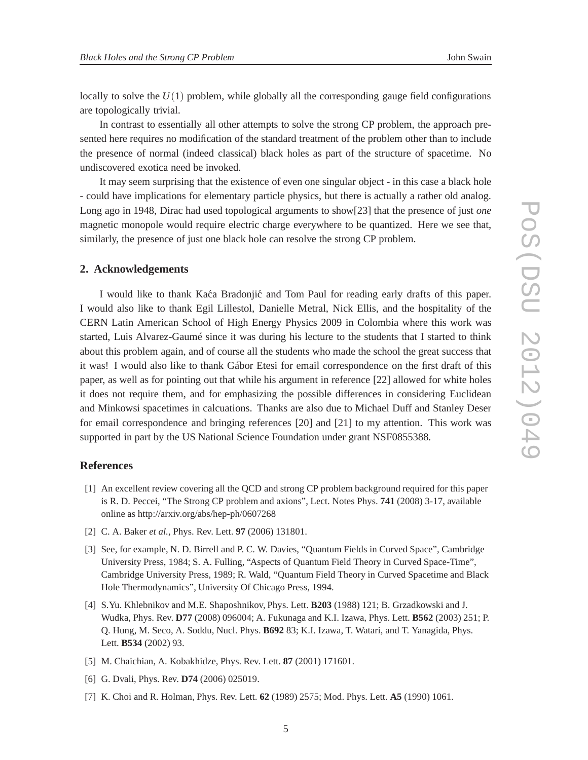locally to solve the  $U(1)$  problem, while globally all the corresponding gauge field configurations are topologically trivial.

In contrast to essentially all other attempts to solve the strong CP problem, the approach presented here requires no modification of the standard treatment of the problem other than to include the presence of normal (indeed classical) black holes as part of the structure of spacetime. No undiscovered exotica need be invoked.

It may seem surprising that the existence of even one singular object - in this case a black hole - could have implications for elementary particle physics, but there is actually a rather old analog. Long ago in 1948, Dirac had used topological arguments to show[23] that the presence of just *one* magnetic monopole would require electric charge everywhere to be quantized. Here we see that, similarly, the presence of just one black hole can resolve the strong CP problem.

## **2. Acknowledgements**

I would like to thank Kaca Bradonjic and Tom Paul for reading early drafts of this paper. I would also like to thank Egil Lillestol, Danielle Metral, Nick Ellis, and the hospitality of the CERN Latin American School of High Energy Physics 2009 in Colombia where this work was started, Luis Alvarez-Gaumé since it was during his lecture to the students that I started to think about this problem again, and of course all the students who made the school the great success that it was! I would also like to thank Gábor Etesi for email correspondence on the first draft of this paper, as well as for pointing out that while his argument in reference [22] allowed for white holes it does not require them, and for emphasizing the possible differences in considering Euclidean and Minkowsi spacetimes in calcuations. Thanks are also due to Michael Duff and Stanley Deser for email correspondence and bringing references [20] and [21] to my attention. This work was supported in part by the US National Science Foundation under grant NSF0855388.

### **References**

- [1] An excellent review covering all the QCD and strong CP problem background required for this paper is R. D. Peccei, "The Strong CP problem and axions", Lect. Notes Phys. **741** (2008) 3-17, available online as http://arxiv.org/abs/hep-ph/0607268
- [2] C. A. Baker *et al.*, Phys. Rev. Lett. **97** (2006) 131801.
- [3] See, for example, N. D. Birrell and P. C. W. Davies, "Quantum Fields in Curved Space", Cambridge University Press, 1984; S. A. Fulling, "Aspects of Quantum Field Theory in Curved Space-Time", Cambridge University Press, 1989; R. Wald, "Quantum Field Theory in Curved Spacetime and Black Hole Thermodynamics", University Of Chicago Press, 1994.
- [4] S.Yu. Khlebnikov and M.E. Shaposhnikov, Phys. Lett. **B203** (1988) 121; B. Grzadkowski and J. Wudka, Phys. Rev. **D77** (2008) 096004; A. Fukunaga and K.I. Izawa, Phys. Lett. **B562** (2003) 251; P. Q. Hung, M. Seco, A. Soddu, Nucl. Phys. **B692** 83; K.I. Izawa, T. Watari, and T. Yanagida, Phys. Lett. **B534** (2002) 93.
- [5] M. Chaichian, A. Kobakhidze, Phys. Rev. Lett. **87** (2001) 171601.
- [6] G. Dvali, Phys. Rev. **D74** (2006) 025019.
- [7] K. Choi and R. Holman, Phys. Rev. Lett. **62** (1989) 2575; Mod. Phys. Lett. **A5** (1990) 1061.